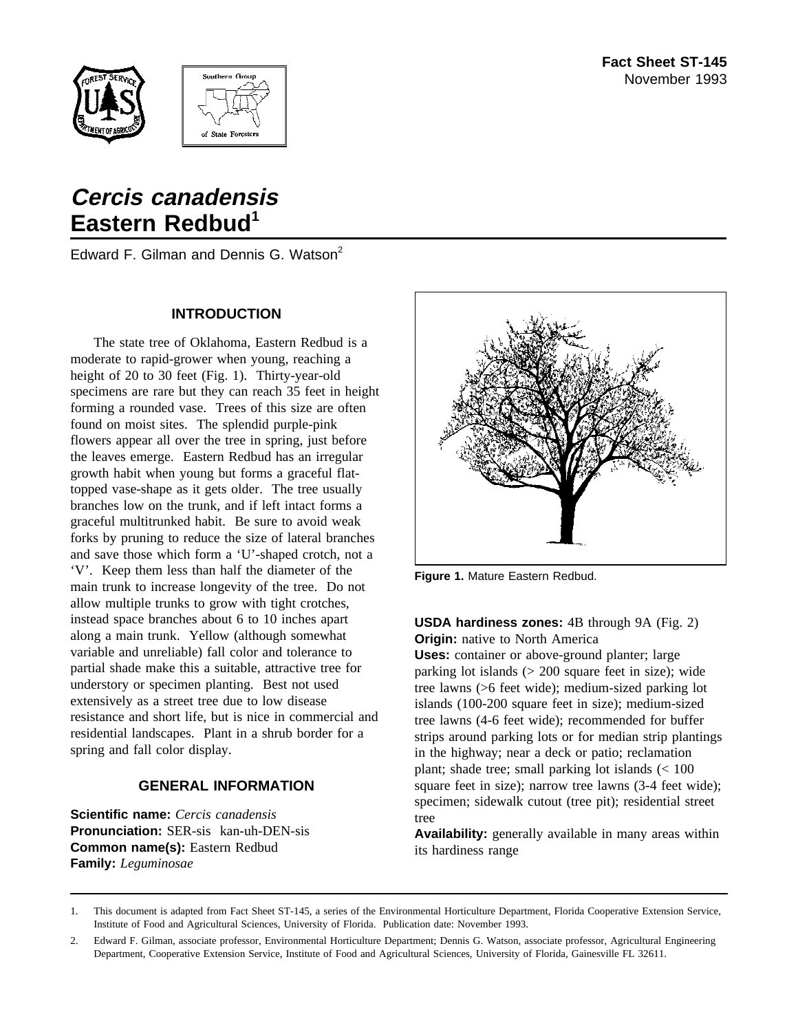



# **Cercis canadensis Eastern Redbud<sup>1</sup>**

Edward F. Gilman and Dennis G. Watson<sup>2</sup>

## **INTRODUCTION**

The state tree of Oklahoma, Eastern Redbud is a moderate to rapid-grower when young, reaching a height of 20 to 30 feet (Fig. 1). Thirty-year-old specimens are rare but they can reach 35 feet in height forming a rounded vase. Trees of this size are often found on moist sites. The splendid purple-pink flowers appear all over the tree in spring, just before the leaves emerge. Eastern Redbud has an irregular growth habit when young but forms a graceful flattopped vase-shape as it gets older. The tree usually branches low on the trunk, and if left intact forms a graceful multitrunked habit. Be sure to avoid weak forks by pruning to reduce the size of lateral branches and save those which form a 'U'-shaped crotch, not a 'V'. Keep them less than half the diameter of the main trunk to increase longevity of the tree. Do not allow multiple trunks to grow with tight crotches, instead space branches about 6 to 10 inches apart along a main trunk. Yellow (although somewhat variable and unreliable) fall color and tolerance to partial shade make this a suitable, attractive tree for understory or specimen planting. Best not used extensively as a street tree due to low disease resistance and short life, but is nice in commercial and residential landscapes. Plant in a shrub border for a spring and fall color display.

## **GENERAL INFORMATION**

**Scientific name:** *Cercis canadensis* **Pronunciation:** SER-sis kan-uh-DEN-sis **Common name(s):** Eastern Redbud **Family:** *Leguminosae*



**Figure 1.** Mature Eastern Redbud.

## **USDA hardiness zones:** 4B through 9A (Fig. 2) **Origin:** native to North America

**Uses:** container or above-ground planter; large parking lot islands (> 200 square feet in size); wide tree lawns (>6 feet wide); medium-sized parking lot islands (100-200 square feet in size); medium-sized tree lawns (4-6 feet wide); recommended for buffer strips around parking lots or for median strip plantings in the highway; near a deck or patio; reclamation plant; shade tree; small parking lot islands (< 100 square feet in size); narrow tree lawns (3-4 feet wide); specimen; sidewalk cutout (tree pit); residential street tree

**Availability:** generally available in many areas within its hardiness range

<sup>1.</sup> This document is adapted from Fact Sheet ST-145, a series of the Environmental Horticulture Department, Florida Cooperative Extension Service, Institute of Food and Agricultural Sciences, University of Florida. Publication date: November 1993.

<sup>2.</sup> Edward F. Gilman, associate professor, Environmental Horticulture Department; Dennis G. Watson, associate professor, Agricultural Engineering Department, Cooperative Extension Service, Institute of Food and Agricultural Sciences, University of Florida, Gainesville FL 32611.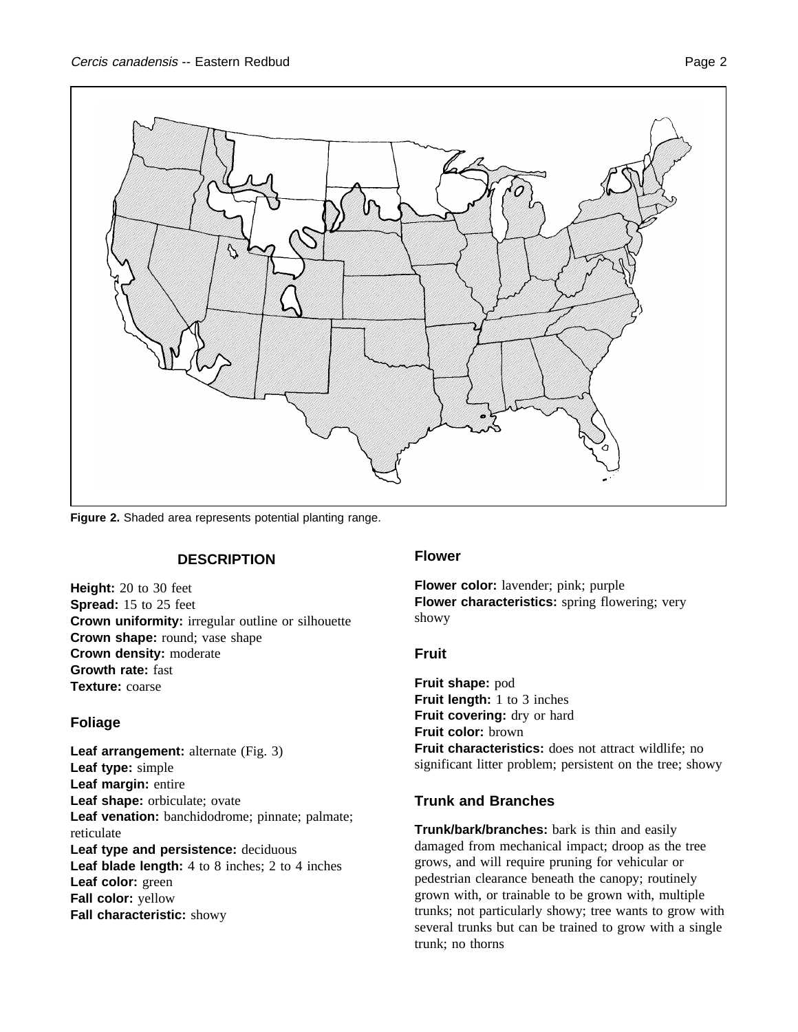

**Figure 2.** Shaded area represents potential planting range.

## **DESCRIPTION**

**Height:** 20 to 30 feet **Spread:** 15 to 25 feet **Crown uniformity:** irregular outline or silhouette **Crown shape:** round; vase shape **Crown density:** moderate **Growth rate:** fast **Texture:** coarse

## **Foliage**

**Leaf arrangement:** alternate (Fig. 3) **Leaf type:** simple **Leaf margin:** entire **Leaf shape:** orbiculate; ovate **Leaf venation:** banchidodrome; pinnate; palmate; reticulate **Leaf type and persistence:** deciduous **Leaf blade length:** 4 to 8 inches; 2 to 4 inches **Leaf color:** green **Fall color:** yellow **Fall characteristic:** showy

## **Flower**

**Flower color:** lavender; pink; purple **Flower characteristics:** spring flowering; very showy

## **Fruit**

**Fruit shape:** pod **Fruit length:** 1 to 3 inches Fruit covering: dry or hard **Fruit color:** brown **Fruit characteristics:** does not attract wildlife; no significant litter problem; persistent on the tree; showy

## **Trunk and Branches**

**Trunk/bark/branches:** bark is thin and easily damaged from mechanical impact; droop as the tree grows, and will require pruning for vehicular or pedestrian clearance beneath the canopy; routinely grown with, or trainable to be grown with, multiple trunks; not particularly showy; tree wants to grow with several trunks but can be trained to grow with a single trunk; no thorns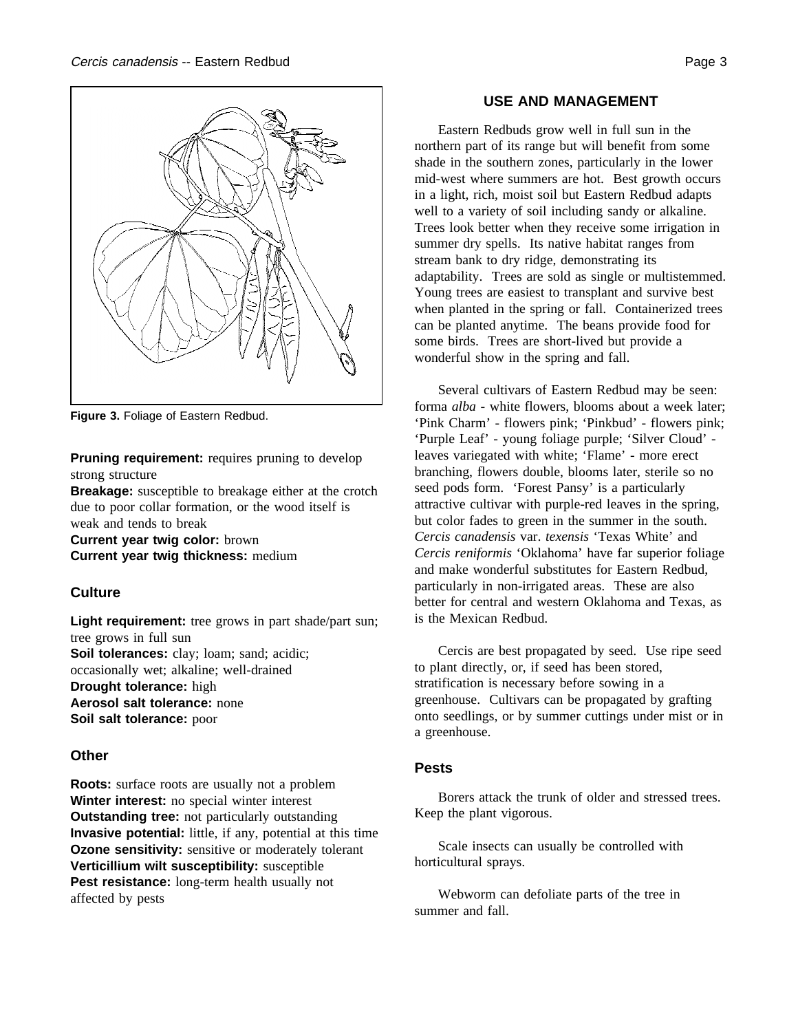

**Figure 3.** Foliage of Eastern Redbud.

**Pruning requirement:** requires pruning to develop strong structure

**Breakage:** susceptible to breakage either at the crotch due to poor collar formation, or the wood itself is weak and tends to break

**Current year twig color:** brown **Current year twig thickness:** medium

## **Culture**

Light requirement: tree grows in part shade/part sun; tree grows in full sun **Soil tolerances:** clay; loam; sand; acidic; occasionally wet; alkaline; well-drained **Drought tolerance:** high **Aerosol salt tolerance:** none **Soil salt tolerance:** poor

## **Other**

**Roots:** surface roots are usually not a problem **Winter interest:** no special winter interest **Outstanding tree:** not particularly outstanding **Invasive potential:** little, if any, potential at this time **Ozone sensitivity:** sensitive or moderately tolerant **Verticillium wilt susceptibility:** susceptible Pest resistance: long-term health usually not affected by pests

## **USE AND MANAGEMENT**

Eastern Redbuds grow well in full sun in the northern part of its range but will benefit from some shade in the southern zones, particularly in the lower mid-west where summers are hot. Best growth occurs in a light, rich, moist soil but Eastern Redbud adapts well to a variety of soil including sandy or alkaline. Trees look better when they receive some irrigation in summer dry spells. Its native habitat ranges from stream bank to dry ridge, demonstrating its adaptability. Trees are sold as single or multistemmed. Young trees are easiest to transplant and survive best when planted in the spring or fall. Containerized trees can be planted anytime. The beans provide food for some birds. Trees are short-lived but provide a wonderful show in the spring and fall.

Several cultivars of Eastern Redbud may be seen: forma *alba* - white flowers, blooms about a week later; 'Pink Charm' - flowers pink; 'Pinkbud' - flowers pink; 'Purple Leaf' - young foliage purple; 'Silver Cloud' leaves variegated with white; 'Flame' - more erect branching, flowers double, blooms later, sterile so no seed pods form. 'Forest Pansy' is a particularly attractive cultivar with purple-red leaves in the spring, but color fades to green in the summer in the south. *Cercis canadensis* var. *texensis* 'Texas White' and *Cercis reniformis* 'Oklahoma' have far superior foliage and make wonderful substitutes for Eastern Redbud, particularly in non-irrigated areas. These are also better for central and western Oklahoma and Texas, as is the Mexican Redbud.

Cercis are best propagated by seed. Use ripe seed to plant directly, or, if seed has been stored, stratification is necessary before sowing in a greenhouse. Cultivars can be propagated by grafting onto seedlings, or by summer cuttings under mist or in a greenhouse.

## **Pests**

Borers attack the trunk of older and stressed trees. Keep the plant vigorous.

Scale insects can usually be controlled with horticultural sprays.

Webworm can defoliate parts of the tree in summer and fall.